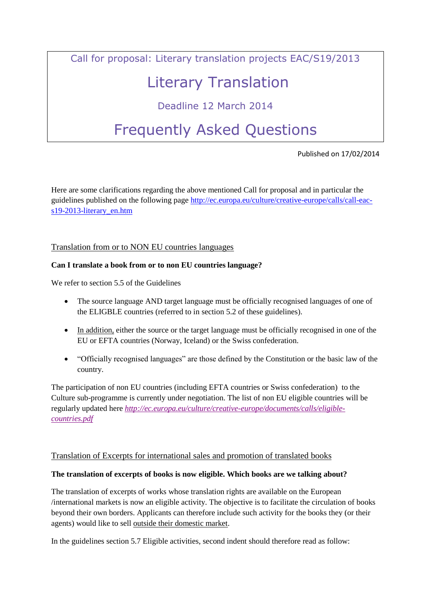Call for proposal: Literary translation projects EAC/S19/2013

# Literary Translation

# Deadline 12 March 2014

# Frequently Asked Questions

Published on 17/02/2014

Here are some clarifications regarding the above mentioned Call for proposal and in particular the guidelines published on the following page [http://ec.europa.eu/culture/creative-europe/calls/call-eac](http://ec.europa.eu/culture/creative-europe/calls/call-eac-s19-2013-literary_en.htm)[s19-2013-literary\\_en.htm](http://ec.europa.eu/culture/creative-europe/calls/call-eac-s19-2013-literary_en.htm)

Translation from or to NON EU countries languages

### **Can I translate a book from or to non EU countries language?**

We refer to section 5.5 of the Guidelines

- The source language AND target language must be officially recognised languages of one of the ELIGBLE countries (referred to in section 5.2 of these guidelines).
- In addition, either the source or the target language must be officially recognised in one of the EU or EFTA countries (Norway, Iceland) or the Swiss confederation.
- "Officially recognised languages" are those defined by the Constitution or the basic law of the country.

The participation of non EU countries (including EFTA countries or Swiss confederation) to the Culture sub-programme is currently under negotiation. The list of non EU eligible countries will be regularly updated here *[http://ec.europa.eu/culture/creative-europe/documents/calls/eligible](http://ec.europa.eu/culture/creative-europe/documents/calls/eligible-countries.pdf)[countries.pdf](http://ec.europa.eu/culture/creative-europe/documents/calls/eligible-countries.pdf)*

### Translation of Excerpts for international sales and promotion of translated books

### **The translation of excerpts of books is now eligible. Which books are we talking about?**

The translation of excerpts of works whose translation rights are available on the European /international markets is now an eligible activity. The objective is to facilitate the circulation of books beyond their own borders. Applicants can therefore include such activity for the books they (or their agents) would like to sell outside their domestic market.

In the guidelines section 5.7 Eligible activities, second indent should therefore read as follow: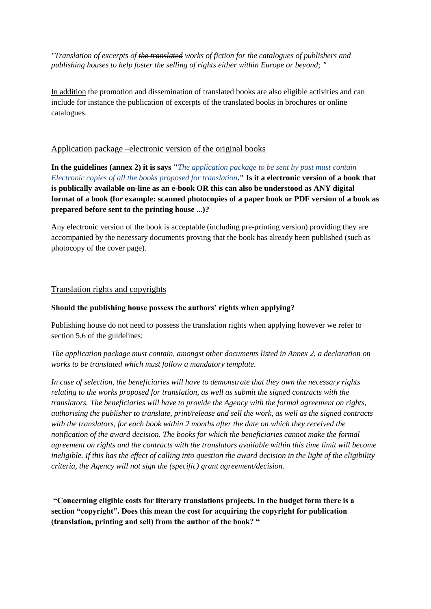*"Translation of excerpts of the translated works of fiction for the catalogues of publishers and publishing houses to help foster the selling of rights either within Europe or beyond; "*

In addition the promotion and dissemination of translated books are also eligible activities and can include for instance the publication of excerpts of the translated books in brochures or online catalogues.

#### Application package –electronic version of the original books

**In the guidelines (annex 2) it is says "***The application package to be sent by post must contain Electronic copies of all the books proposed for translation***." Is it a electronic version of a book that is publically available on-line as an e-book OR this can also be understood as ANY digital format of a book (for example: scanned photocopies of a paper book or PDF version of a book as prepared before sent to the printing house ...)?**

Any electronic version of the book is acceptable (including pre-printing version) providing they are accompanied by the necessary documents proving that the book has already been published (such as photocopy of the cover page).

#### Translation rights and copyrights

#### **Should the publishing house possess the authors' rights when applying?**

Publishing house do not need to possess the translation rights when applying however we refer to section 5.6 of the guidelines:

*The application package must contain, amongst other documents listed in Annex 2, a declaration on works to be translated which must follow a mandatory template.* 

*In case of selection, the beneficiaries will have to demonstrate that they own the necessary rights relating to the works proposed for translation, as well as submit the signed contracts with the translators. The beneficiaries will have to provide the Agency with the formal agreement on rights, authorising the publisher to translate, print/release and sell the work, as well as the signed contracts with the translators, for each book within 2 months after the date on which they received the notification of the award decision. The books for which the beneficiaries cannot make the formal agreement on rights and the contracts with the translators available within this time limit will become ineligible. If this has the effect of calling into question the award decision in the light of the eligibility criteria, the Agency will not sign the (specific) grant agreement/decision.*

**"Concerning eligible costs for literary translations projects. In the budget form there is a section "copyright". Does this mean the cost for acquiring the copyright for publication (translation, printing and sell) from the author of the book? "**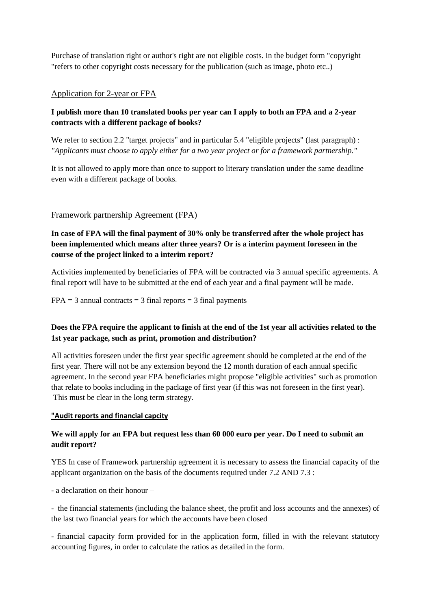Purchase of translation right or author's right are not eligible costs. In the budget form "copyright "refers to other copyright costs necessary for the publication (such as image, photo etc..)

# Application for 2-year or FPA

# **I publish more than 10 translated books per year can I apply to both an FPA and a 2-year contracts with a different package of books?**

We refer to section 2.2 "target projects" and in particular 5.4 "eligible projects" (last paragraph) : *"Applicants must choose to apply either for a two year project or for a framework partnership."*

It is not allowed to apply more than once to support to literary translation under the same deadline even with a different package of books.

# Framework partnership Agreement (FPA)

**In case of FPA will the final payment of 30% only be transferred after the whole project has been implemented which means after three years? Or is a interim payment foreseen in the course of the project linked to a interim report?**

Activities implemented by beneficiaries of FPA will be contracted via 3 annual specific agreements. A final report will have to be submitted at the end of each year and a final payment will be made.

 $FPA = 3$  annual contracts = 3 final reports = 3 final payments

# **Does the FPA require the applicant to finish at the end of the 1st year all activities related to the 1st year package, such as print, promotion and distribution?**

All activities foreseen under the first year specific agreement should be completed at the end of the first year. There will not be any extension beyond the 12 month duration of each annual specific agreement. In the second year FPA beneficiaries might propose "eligible activities" such as promotion that relate to books including in the package of first year (if this was not foreseen in the first year). This must be clear in the long term strategy.

### **"Audit reports and financial capcity**

# **We will apply for an FPA but request less than 60 000 euro per year. Do I need to submit an audit report?**

YES In case of Framework partnership agreement it is necessary to assess the financial capacity of the applicant organization on the basis of the documents required under 7.2 AND 7.3 :

- a declaration on their honour –

- the financial statements (including the balance sheet, the profit and loss accounts and the annexes) of the last two financial years for which the accounts have been closed

- financial capacity form provided for in the application form, filled in with the relevant statutory accounting figures, in order to calculate the ratios as detailed in the form.